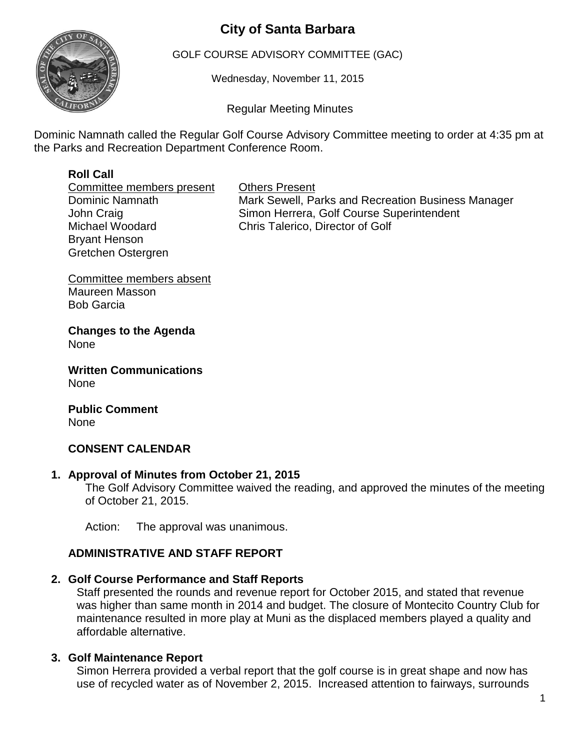# **City of Santa Barbara**



GOLF COURSE ADVISORY COMMITTEE (GAC)

Wednesday, November 11, 2015

Regular Meeting Minutes

Dominic Namnath called the Regular Golf Course Advisory Committee meeting to order at 4:35 pm at the Parks and Recreation Department Conference Room.

## **Roll Call**

Committee members present Others Present Bryant Henson Gretchen Ostergren

Dominic Namnath **Mark Sewell, Parks and Recreation Business Manager** John Craig **Simon Herrera**, Golf Course Superintendent Michael Woodard Chris Talerico, Director of Golf

Committee members absent Maureen Masson Bob Garcia

**Changes to the Agenda** None

**Written Communications** None

**Public Comment** None

## **CONSENT CALENDAR**

#### **1. Approval of Minutes from October 21, 2015**

The Golf Advisory Committee waived the reading, and approved the minutes of the meeting of October 21, 2015.

Action: The approval was unanimous.

## **ADMINISTRATIVE AND STAFF REPORT**

#### **2. Golf Course Performance and Staff Reports**

Staff presented the rounds and revenue report for October 2015, and stated that revenue was higher than same month in 2014 and budget. The closure of Montecito Country Club for maintenance resulted in more play at Muni as the displaced members played a quality and affordable alternative.

#### **3. Golf Maintenance Report**

Simon Herrera provided a verbal report that the golf course is in great shape and now has use of recycled water as of November 2, 2015. Increased attention to fairways, surrounds